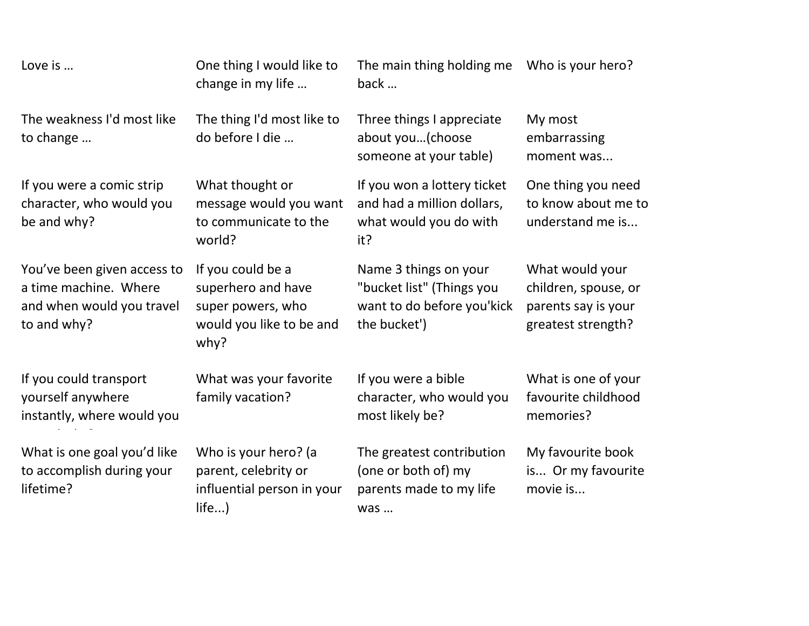| Love is                                                                                          | One thing I would like to<br>change in my life                                                   | The main thing holding me<br>back                                                                | Who is your hero?                                                                    |
|--------------------------------------------------------------------------------------------------|--------------------------------------------------------------------------------------------------|--------------------------------------------------------------------------------------------------|--------------------------------------------------------------------------------------|
| The weakness I'd most like<br>to change                                                          | The thing I'd most like to<br>do before I die                                                    | Three things I appreciate<br>about you(choose<br>someone at your table)                          | My most<br>embarrassing<br>moment was                                                |
| If you were a comic strip<br>character, who would you<br>be and why?                             | What thought or<br>message would you want<br>to communicate to the<br>world?                     | If you won a lottery ticket<br>and had a million dollars,<br>what would you do with<br>it?       | One thing you need<br>to know about me to<br>understand me is                        |
| You've been given access to<br>a time machine. Where<br>and when would you travel<br>to and why? | If you could be a<br>superhero and have<br>super powers, who<br>would you like to be and<br>why? | Name 3 things on your<br>"bucket list" (Things you<br>want to do before you'kick<br>the bucket') | What would your<br>children, spouse, or<br>parents say is your<br>greatest strength? |
| If you could transport<br>yourself anywhere<br>instantly, where would you                        | What was your favorite<br>family vacation?                                                       | If you were a bible<br>character, who would you<br>most likely be?                               | What is one of your<br>favourite childhood<br>memories?                              |
| What is one goal you'd like<br>to accomplish during your<br>lifetime?                            | Who is your hero? (a<br>parent, celebrity or<br>influential person in your<br>life)              | The greatest contribution<br>(one or both of) my<br>parents made to my life<br>was               | My favourite book<br>is Or my favourite<br>movie is                                  |